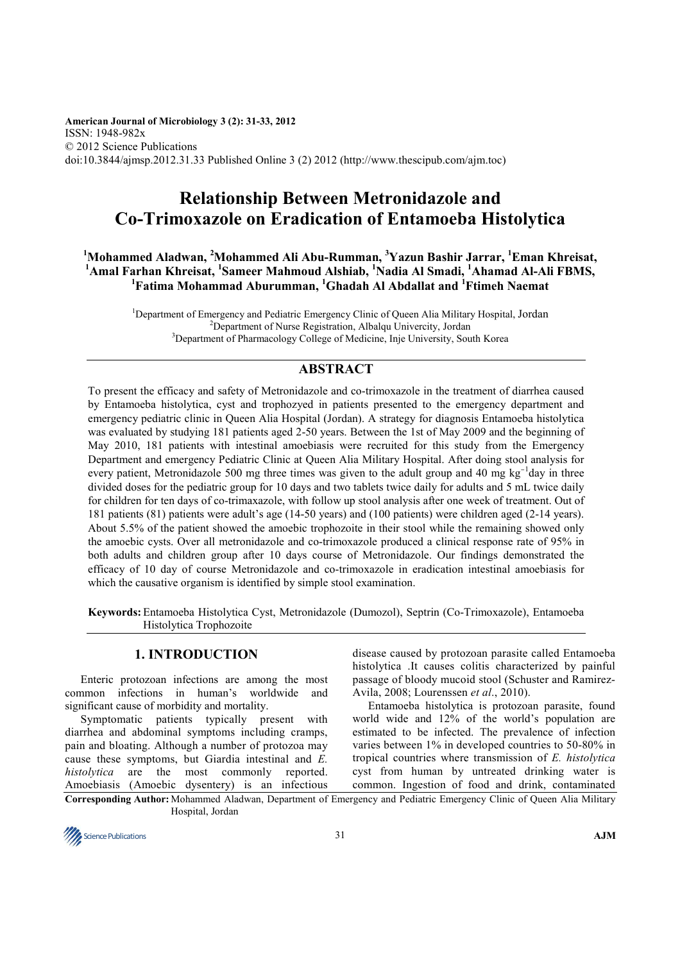**American Journal of Microbiology 3 (2): 31-33, 2012** ISSN: 1948-982x © 2012 Science Publications doi:10.3844/ajmsp.2012.31.33 Published Online 3 (2) 2012 (http://www.thescipub.com/ajm.toc)

# **Relationship Between Metronidazole and Co-Trimoxazole on Eradication of Entamoeba Histolytica**

**<sup>1</sup>Mohammed Aladwan, <sup>2</sup>Mohammed Ali Abu-Rumman, <sup>3</sup>Yazun Bashir Jarrar, <sup>1</sup>Eman Khreisat, <sup>1</sup>Amal Farhan Khreisat, <sup>1</sup> Sameer Mahmoud Alshiab, <sup>1</sup>Nadia Al Smadi, <sup>1</sup>Ahamad Al-Ali FBMS, <sup>1</sup>Fatima Mohammad Aburumman, <sup>1</sup>Ghadah Al Abdallat and <sup>1</sup>Ftimeh Naemat** 

<sup>1</sup>Department of Emergency and Pediatric Emergency Clinic of Oueen Alia Military Hospital, Jordan <sup>2</sup>Department of Nurse Registration, Albalqu Univercity, Jordan <sup>3</sup>Department of Pharmacology College of Medicine, Inje University, South Korea

# **ABSTRACT**

To present the efficacy and safety of Metronidazole and co-trimoxazole in the treatment of diarrhea caused by Entamoeba histolytica, cyst and trophozyed in patients presented to the emergency department and emergency pediatric clinic in Queen Alia Hospital (Jordan). A strategy for diagnosis Entamoeba histolytica was evaluated by studying 181 patients aged 2-50 years. Between the 1st of May 2009 and the beginning of May 2010, 181 patients with intestinal amoebiasis were recruited for this study from the Emergency Department and emergency Pediatric Clinic at Queen Alia Military Hospital. After doing stool analysis for every patient, Metronidazole 500 mg three times was given to the adult group and 40 mg kg<sup>-1</sup>day in three divided doses for the pediatric group for 10 days and two tablets twice daily for adults and 5 mL twice daily for children for ten days of co-trimaxazole, with follow up stool analysis after one week of treatment. Out of 181 patients (81) patients were adult's age (14-50 years) and (100 patients) were children aged (2-14 years). About 5.5% of the patient showed the amoebic trophozoite in their stool while the remaining showed only the amoebic cysts. Over all metronidazole and co-trimoxazole produced a clinical response rate of 95% in both adults and children group after 10 days course of Metronidazole. Our findings demonstrated the efficacy of 10 day of course Metronidazole and co-trimoxazole in eradication intestinal amoebiasis for which the causative organism is identified by simple stool examination.

**Keywords:** Entamoeba Histolytica Cyst, Metronidazole (Dumozol), Septrin (Co-Trimoxazole), Entamoeba Histolytica Trophozoite

# **1. INTRODUCTION**

Enteric protozoan infections are among the most common infections in human's worldwide and significant cause of morbidity and mortality.

Symptomatic patients typically present with diarrhea and abdominal symptoms including cramps, pain and bloating. Although a number of protozoa may cause these symptoms, but Giardia intestinal and *E. histolytica* are the most commonly reported. Amoebiasis (Amoebic dysentery) is an infectious disease caused by protozoan parasite called Entamoeba histolytica .It causes colitis characterized by painful passage of bloody mucoid stool (Schuster and Ramirez-Avila, 2008; Lourenssen *et al*., 2010).

Entamoeba histolytica is protozoan parasite, found world wide and 12% of the world's population are estimated to be infected. The prevalence of infection varies between 1% in developed countries to 50-80% in tropical countries where transmission of *E. histolytica* cyst from human by untreated drinking water is common. Ingestion of food and drink, contaminated

**Corresponding Author:** Mohammed Aladwan, Department of Emergency and Pediatric Emergency Clinic of Queen Alia Military Hospital, Jordan

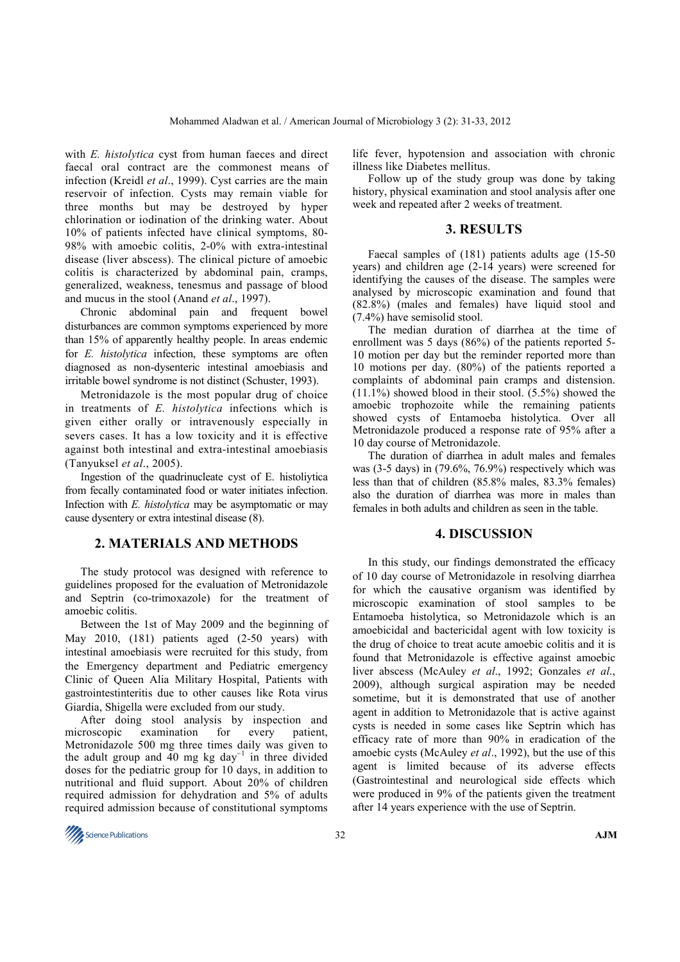with *E. histolytica* cyst from human faeces and direct faecal oral contract are the commonest means of infection (Kreidl *et al*., 1999). Cyst carries are the main reservoir of infection. Cysts may remain viable for three months but may be destroyed by hyper chlorination or iodination of the drinking water. About 10% of patients infected have clinical symptoms, 80- 98% with amoebic colitis, 2-0% with extra-intestinal disease (liver abscess). The clinical picture of amoebic colitis is characterized by abdominal pain, cramps, generalized, weakness, tenesmus and passage of blood and mucus in the stool (Anand *et al*., 1997).

Chronic abdominal pain and frequent bowel disturbances are common symptoms experienced by more than 15% of apparently healthy people. In areas endemic for *E. histolytica* infection, these symptoms are often diagnosed as non-dysenteric intestinal amoebiasis and irritable bowel syndrome is not distinct (Schuster, 1993).

Metronidazole is the most popular drug of choice in treatments of *E. histolytica* infections which is given either orally or intravenously especially in severs cases. It has a low toxicity and it is effective against both intestinal and extra-intestinal amoebiasis (Tanyuksel *et al*., 2005).

Ingestion of the quadrinucleate cyst of E. histoliytica from fecally contaminated food or water initiates infection. Infection with *E. histolytica* may be asymptomatic or may cause dysentery or extra intestinal disease (8).

# **2. MATERIALS AND METHODS**

The study protocol was designed with reference to guidelines proposed for the evaluation of Metronidazole and Septrin (co-trimoxazole) for the treatment of amoebic colitis.

Between the 1st of May 2009 and the beginning of May 2010, (181) patients aged (2-50 years) with intestinal amoebiasis were recruited for this study, from the Emergency department and Pediatric emergency Clinic of Queen Alia Military Hospital, Patients with gastrointestinteritis due to other causes like Rota virus Giardia, Shigella were excluded from our study.

After doing stool analysis by inspection and microscopic examination for every patient, examination for every Metronidazole 500 mg three times daily was given to the adult group and 40 mg kg day<sup>-1</sup> in three divided doses for the pediatric group for 10 days, in addition to nutritional and fluid support. About 20% of children required admission for dehydration and 5% of adults required admission because of constitutional symptoms

life fever, hypotension and association with chronic illness like Diabetes mellitus.

Follow up of the study group was done by taking history, physical examination and stool analysis after one week and repeated after 2 weeks of treatment.

#### **3. RESULTS**

Faecal samples of (181) patients adults age (15-50 years) and children age (2-14 years) were screened for identifying the causes of the disease. The samples were analysed by microscopic examination and found that (82.8%) (males and females) have liquid stool and (7.4%) have semisolid stool.

The median duration of diarrhea at the time of enrollment was 5 days (86%) of the patients reported 5-10 motion per day but the reminder reported more than 10 motions per day. (80%) of the patients reported a complaints of abdominal pain cramps and distension.  $(11.1\%)$  showed blood in their stool.  $(5.5\%)$  showed the amoebic trophozoite while the remaining patients showed cysts of Entamoeba histolytica. Over all Metronidazole produced a response rate of 95% after a 10 day course of Metronidazole.

The duration of diarrhea in adult males and females was (3-5 days) in (79.6%, 76.9%) respectively which was less than that of children (85.8% males, 83.3% females) also the duration of diarrhea was more in males than females in both adults and children as seen in the table.

## **4. DISCUSSION**

In this study, our findings demonstrated the efficacy of 10 day course of Metronidazole in resolving diarrhea for which the causative organism was identified by microscopic examination of stool samples to be Entamoeba histolytica, so Metronidazole which is an amoebicidal and bactericidal agent with low toxicity is the drug of choice to treat acute amoebic colitis and it is found that Metronidazole is effective against amoebic liver abscess (McAuley *et al*., 1992; Gonzales *et al*., 2009), although surgical aspiration may be needed sometime, but it is demonstrated that use of another agent in addition to Metronidazole that is active against cysts is needed in some cases like Septrin which has efficacy rate of more than 90% in eradication of the amoebic cysts (McAuley *et al*., 1992), but the use of this agent is limited because of its adverse effects (Gastrointestinal and neurological side effects which were produced in 9% of the patients given the treatment after 14 years experience with the use of Septrin.